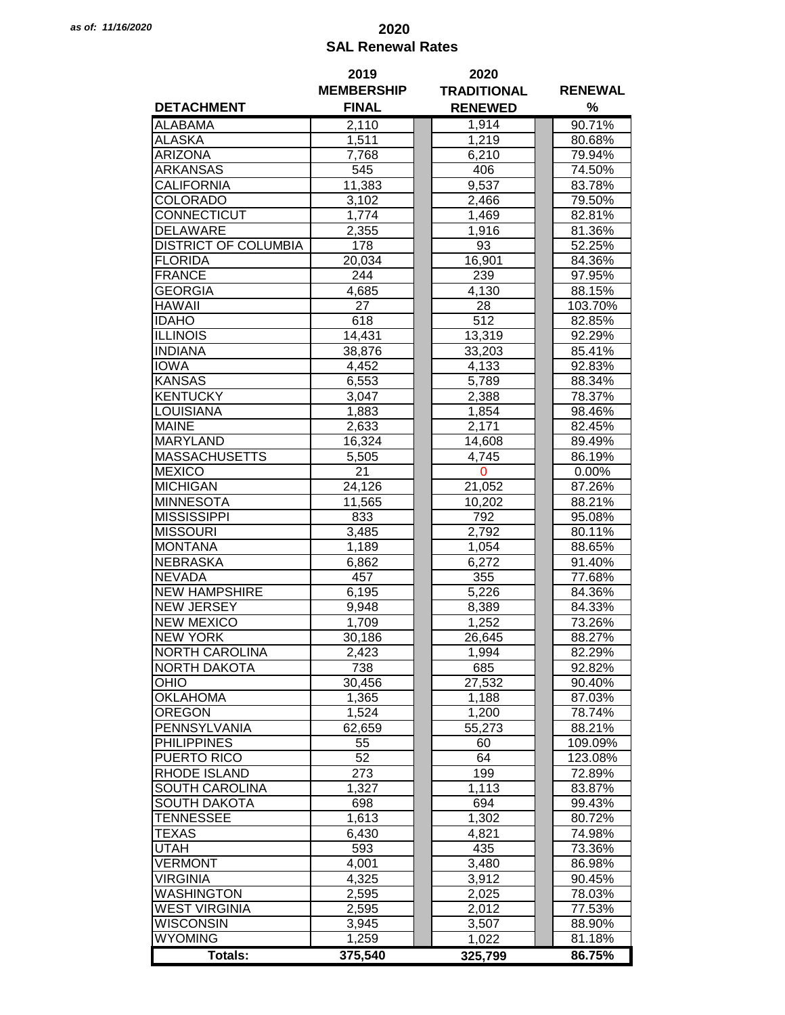## *as of: 11/16/2020* **2020 SAL Renewal Rates**

|                             | 2019              | 2020               |                |  |  |
|-----------------------------|-------------------|--------------------|----------------|--|--|
|                             | <b>MEMBERSHIP</b> | <b>TRADITIONAL</b> | <b>RENEWAL</b> |  |  |
| <b>DETACHMENT</b>           | <b>FINAL</b>      | <b>RENEWED</b>     | %              |  |  |
| <b>ALABAMA</b>              | 2,110             | 1,914              | 90.71%         |  |  |
| <b>ALASKA</b>               | 1,511             | 1,219              | 80.68%         |  |  |
| <b>ARIZONA</b>              | 7,768             | 6,210              | 79.94%         |  |  |
| ARKANSAS                    | 545               | 406                | 74.50%         |  |  |
| CALIFORNIA                  | 11,383            | 9,537              | 83.78%         |  |  |
| COLORADO                    | 3,102             | 2,466              | 79.50%         |  |  |
| CONNECTICUT                 | 1,774             | 1,469              | 82.81%         |  |  |
| <b>DELAWARE</b>             | 2,355             | 1,916              | 81.36%         |  |  |
| <b>DISTRICT OF COLUMBIA</b> | 178               | 93                 | 52.25%         |  |  |
|                             |                   |                    |                |  |  |
| <b>FLORIDA</b>              | 20,034            | 16,901             | 84.36%         |  |  |
| <b>FRANCE</b>               | 244               | 239                | 97.95%         |  |  |
| <b>GEORGIA</b>              | 4,685             | 4,130              | 88.15%         |  |  |
| <b>HAWAII</b>               | 27                | 28                 | 103.70%        |  |  |
| <b>IDAHO</b>                | 618               | 512                | 82.85%         |  |  |
| <b>ILLINOIS</b>             | 14,431            | 13,319             | 92.29%         |  |  |
| <b>INDIANA</b>              | 38,876            | 33,203             | 85.41%         |  |  |
| <b>IOWA</b>                 | 4,452             | 4,133              | 92.83%         |  |  |
| <b>KANSAS</b>               | 6,553             | 5,789              | 88.34%         |  |  |
| <b>KENTUCKY</b>             | 3,047             | 2,388              | 78.37%         |  |  |
| <b>LOUISIANA</b>            | 1,883             | 1,854              | 98.46%         |  |  |
| <b>MAINE</b>                | 2,633             | 2,171              | 82.45%         |  |  |
| <b>MARYLAND</b>             | 16,324            | 14,608             | 89.49%         |  |  |
| <b>MASSACHUSETTS</b>        | 5,505             | 4,745              | 86.19%         |  |  |
| <b>MEXICO</b>               | 21                | $\mathbf 0$        | $0.00\%$       |  |  |
| <b>MICHIGAN</b>             | 24,126            | 21,052             | 87.26%         |  |  |
| <b>MINNESOTA</b>            | 11,565            | 10,202             | 88.21%         |  |  |
| <b>MISSISSIPPI</b>          | 833               | 792                | 95.08%         |  |  |
| <b>MISSOURI</b>             | 3,485             | 2,792              | 80.11%         |  |  |
| <b>MONTANA</b>              | 1,189             | 1,054              | 88.65%         |  |  |
| <b>NEBRASKA</b>             | 6,862             | 6,272              | 91.40%         |  |  |
| <b>NEVADA</b>               | 457               | 355                | 77.68%         |  |  |
| <b>NEW HAMPSHIRE</b>        | 6,195             | 5,226              | 84.36%         |  |  |
| <b>NEW JERSEY</b>           | 9,948             | 8,389              | 84.33%         |  |  |
| <b>NEW MEXICO</b>           | 1,709             | 1,252              | 73.26%         |  |  |
| <b>NEW YORK</b>             | 30,186            | 26,645             | 88.27%         |  |  |
| <b>NORTH CAROLINA</b>       | 2,423             | 1,994              | 82.29%         |  |  |
| <b>NORTH DAKOTA</b>         | 738               | 685                | 92.82%         |  |  |
| OHIO                        | 30,456            | 27,532             | 90.40%         |  |  |
| <b>OKLAHOMA</b>             | 1,365             | 1,188              | 87.03%         |  |  |
| <b>OREGON</b>               | 1,524             | 1,200              | 78.74%         |  |  |
| PENNSYLVANIA                |                   |                    | 88.21%         |  |  |
|                             | 62,659            | 55,273             |                |  |  |
| <b>PHILIPPINES</b>          | 55                | 60                 | 109.09%        |  |  |
| PUERTO RICO                 | 52                | 64                 | 123.08%        |  |  |
| <b>RHODE ISLAND</b>         | 273               | 199                | 72.89%         |  |  |
| SOUTH CAROLINA              | 1,327             | 1,113              | 83.87%         |  |  |
| <b>SOUTH DAKOTA</b>         | 698               | 694                | 99.43%         |  |  |
| <b>TENNESSEE</b>            | 1,613             | 1,302              | 80.72%         |  |  |
| <b>TEXAS</b>                | 6,430             | 4,821              | 74.98%         |  |  |
| <b>UTAH</b>                 | 593               | 435                | 73.36%         |  |  |
| <b>VERMONT</b>              | 4,001             | 3,480              | 86.98%         |  |  |
| <b>VIRGINIA</b>             | 4,325             | 3,912              | 90.45%         |  |  |
| <b>WASHINGTON</b>           | 2,595             | 2,025              | 78.03%         |  |  |
| <b>WEST VIRGINIA</b>        | 2,595             | 2,012              | 77.53%         |  |  |
| <b>WISCONSIN</b>            | 3,945             | 3,507              | 88.90%         |  |  |
| <b>WYOMING</b>              | 1,259             | 1,022              | 81.18%         |  |  |
| <b>Totals:</b>              | 375,540           | 325,799            | 86.75%         |  |  |